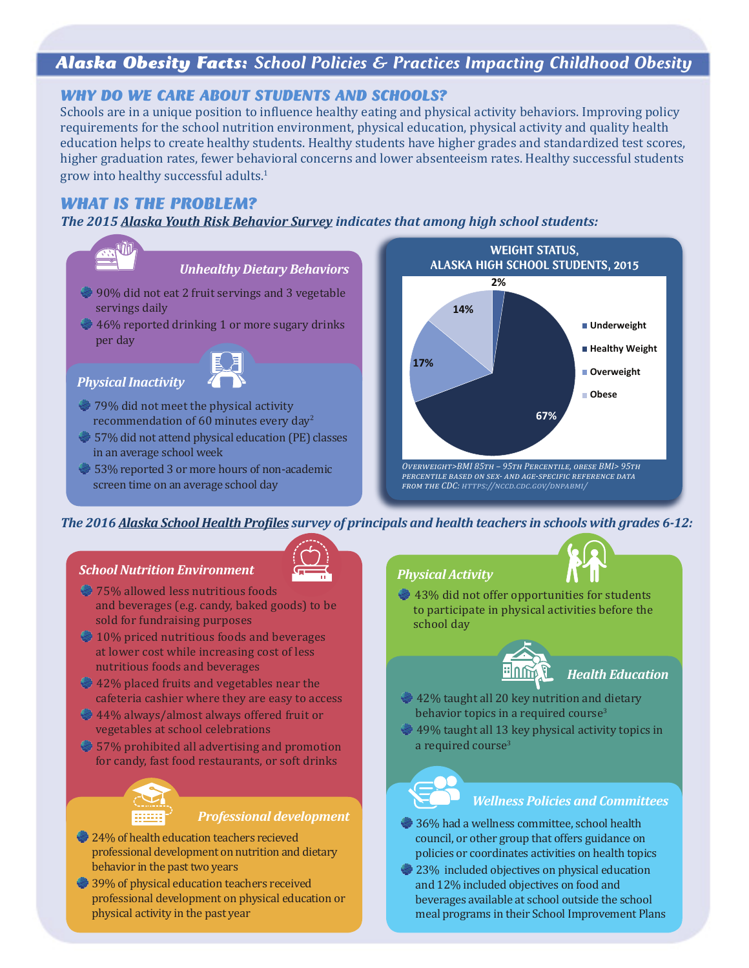# *Alaska Obesity Facts: School Policies & Practices Impacting Childhood Obesity*

### *WHY DO WE CARE ABOUT STUDENTS AND SCHOOLS?*

Schools are in a unique position to influence healthy eating and physical activity behaviors. Improving policy requirements for the school nutrition environment, physical education, physical activity and quality health education helps to create healthy students. Healthy students have higher grades and standardized test scores, higher graduation rates, fewer behavioral concerns and lower absenteeism rates. Healthy successful students grow into healthy successful adults.<sup>1</sup>

### *WHAT IS THE PROBLEM?*

*The 2015 [Alaska Youth Risk Behavior Survey](http://dhss.alaska.gov/dph/Chronic/Pages/yrbs/yrbs.aspx) indicates that among high school students:*



53% reported 3 or more hours of non-academic screen time on an average school day

### *Overweight>BMI 85th – 95th Percentile, obese BMI> 95th percentile based on sex- and age-specific reference data from the CDC: <https://nccd.cdc.gov/dnpabmi/>*

### *The 2016 [Alaska School Health Profile](http://dhss.alaska.gov/dph/Chronic/Pages/SchoolHealth/profiles.aspx)s survey of principals and health teachers in schools with grades 6-12:*

### *School Nutrition Environment*



- 75% allowed less nutritious foods and beverages (e.g. candy, baked goods) to be sold for fundraising purposes
- <sup>2</sup> 10% priced nutritious foods and beverages at lower cost while increasing cost of less nutritious foods and beverages
- 42% placed fruits and vegetables near the cafeteria cashier where they are easy to access
- 44% always/almost always offered fruit or vegetables at school celebrations
- $\bullet$  57% prohibited all advertising and promotion for candy, fast food restaurants, or soft drinks



*Professional development*

- $24%$  of health education teachers recieved professional development on nutrition and dietary behavior in the past two years
- 39% of physical education teachers received professional development on physical education or physical activity in the past year

### *Physical Activity*



43% did not offer opportunities for students to participate in physical activities before the school day



### *Health Education*

- 42% taught all 20 key nutrition and dietary behavior topics in a required course $3$
- 49% taught all 13 key physical activity topics in a required course<sup>3</sup>

### *Wellness Policies and Committees*

- 36% had a wellness committee, school health council, or other group that offers guidance on policies or coordinates activities on health topics
- 23% included objectives on physical education and 12% included objectives on food and beverages available at school outside the school meal programs in their School Improvement Plans